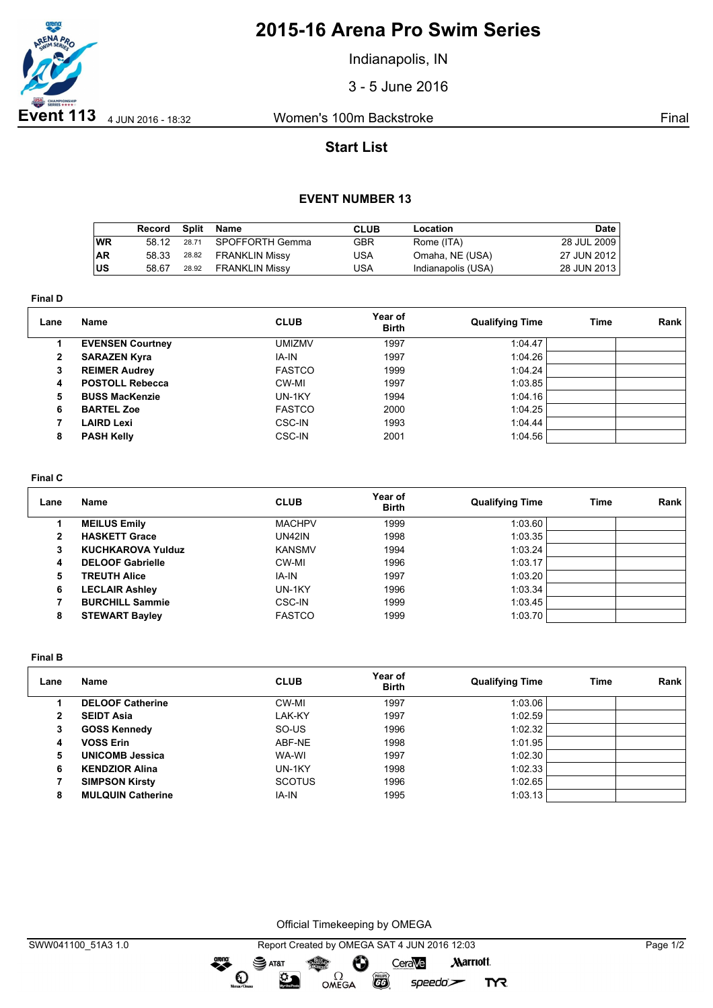

## **2015-16 Arena Pro Swim Series**

Indianapolis, IN

3 - 5 June 2016

## **Start List**

### **EVENT NUMBER 13**

|           | Record | Split | Name                  | CLUB | Location           | Date        |
|-----------|--------|-------|-----------------------|------|--------------------|-------------|
| <b>WR</b> | 58 12  | 28.71 | SPOFFORTH Gemma       | GBR  | Rome (ITA)         | 28 JUL 2009 |
| ∣AR       | 58.33  | 28.82 | FRANKLIN Missy        | USA  | Omaha, NE (USA)    | 27 JUN 2012 |
| lus       | 58.67  | 28.92 | <b>FRANKLIN Missy</b> | USA  | Indianapolis (USA) | 28 JUN 2013 |

**Final D**

| Lane         | Name                    | <b>CLUB</b>   | Year of<br><b>Birth</b> | <b>Qualifying Time</b> | <b>Time</b> | Rank |
|--------------|-------------------------|---------------|-------------------------|------------------------|-------------|------|
|              | <b>EVENSEN Courtney</b> | <b>UMIZMV</b> | 1997                    | 1:04.47                |             |      |
| $\mathbf{2}$ | <b>SARAZEN Kyra</b>     | IA-IN         | 1997                    | 1:04.26                |             |      |
| 3            | <b>REIMER Audrey</b>    | <b>FASTCO</b> | 1999                    | 1:04.24                |             |      |
| 4            | <b>POSTOLL Rebecca</b>  | CW-MI         | 1997                    | 1:03.85                |             |      |
| 5            | <b>BUSS MacKenzie</b>   | UN-1KY        | 1994                    | 1:04.16                |             |      |
| 6            | <b>BARTEL Zoe</b>       | <b>FASTCO</b> | 2000                    | 1:04.25                |             |      |
|              | LAIRD Lexi              | CSC-IN        | 1993                    | 1:04.44                |             |      |
| 8            | <b>PASH Kelly</b>       | CSC-IN        | 2001                    | 1:04.56                |             |      |

#### **Final C**

| Lane | Name                     | <b>CLUB</b>   | Year of<br><b>Birth</b> | <b>Qualifying Time</b> | Time | Rank |
|------|--------------------------|---------------|-------------------------|------------------------|------|------|
|      | <b>MEILUS Emily</b>      | <b>MACHPV</b> | 1999                    | 1:03.60                |      |      |
| 2    | <b>HASKETT Grace</b>     | UN42IN        | 1998                    | 1:03.35                |      |      |
| з    | <b>KUCHKAROVA Yulduz</b> | <b>KANSMV</b> | 1994                    | 1:03.24                |      |      |
| 4    | <b>DELOOF Gabrielle</b>  | CW-MI         | 1996                    | 1:03.17                |      |      |
| 5    | <b>TREUTH Alice</b>      | IA-IN         | 1997                    | 1:03.20                |      |      |
| 6    | <b>LECLAIR Ashley</b>    | UN-1KY        | 1996                    | 1:03.34                |      |      |
|      | <b>BURCHILL Sammie</b>   | CSC-IN        | 1999                    | 1:03.45                |      |      |
| 8    | <b>STEWART Bayley</b>    | <b>FASTCO</b> | 1999                    | 1:03.70                |      |      |

**Final B**

| Lane | Name                     | <b>CLUB</b>   | Year of<br><b>Birth</b> | <b>Qualifying Time</b> | Time | Rank |
|------|--------------------------|---------------|-------------------------|------------------------|------|------|
|      | <b>DELOOF Catherine</b>  | CW-MI         | 1997                    | 1:03.06                |      |      |
| 2    | <b>SEIDT Asia</b>        | LAK-KY        | 1997                    | 1:02.59                |      |      |
| 3    | <b>GOSS Kennedy</b>      | SO-US         | 1996                    | 1:02.32                |      |      |
| 4    | <b>VOSS Erin</b>         | ABF-NE        | 1998                    | 1:01.95                |      |      |
| 5    | <b>UNICOMB Jessica</b>   | WA-WI         | 1997                    | 1:02.30                |      |      |
| 6    | <b>KENDZIOR Alina</b>    | UN-1KY        | 1998                    | 1:02.33                |      |      |
|      | <b>SIMPSON Kirsty</b>    | <b>SCOTUS</b> | 1996                    | 1:02.65                |      |      |
| 8    | <b>MULQUIN Catherine</b> | IA-IN         | 1995                    | 1:03.13                |      |      |

Official Timekeeping by OMEGA

dreng: